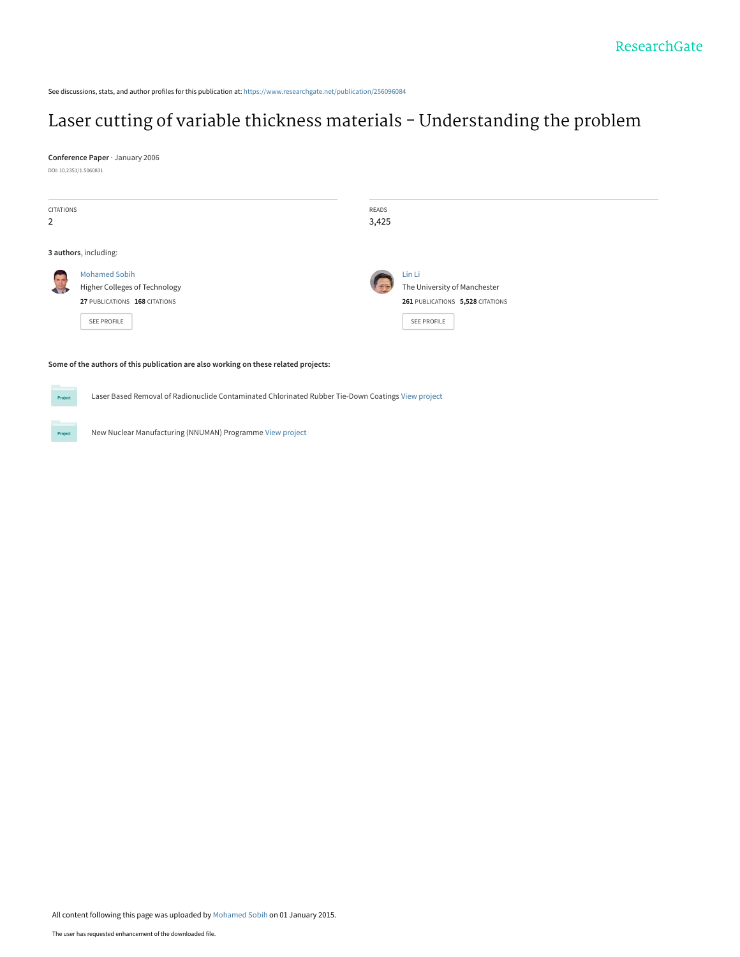See discussions, stats, and author profiles for this publication at: [https://www.researchgate.net/publication/256096084](https://www.researchgate.net/publication/256096084_Laser_cutting_of_variable_thickness_materials_-_Understanding_the_problem?enrichId=rgreq-e87108f710775f2e1760353d15ea7916-XXX&enrichSource=Y292ZXJQYWdlOzI1NjA5NjA4NDtBUzoxODA3NjcxMjg4MjU4NTZAMTQyMDEwOTY1MDE4Mg%3D%3D&el=1_x_2&_esc=publicationCoverPdf)

# [Laser cutting of variable thickness materials - Understanding the problem](https://www.researchgate.net/publication/256096084_Laser_cutting_of_variable_thickness_materials_-_Understanding_the_problem?enrichId=rgreq-e87108f710775f2e1760353d15ea7916-XXX&enrichSource=Y292ZXJQYWdlOzI1NjA5NjA4NDtBUzoxODA3NjcxMjg4MjU4NTZAMTQyMDEwOTY1MDE4Mg%3D%3D&el=1_x_3&_esc=publicationCoverPdf)

**Conference Paper** · January 2006

DOI: 10.2351/1.5060831

| CITATIONS             |                                      | READS |                                  |
|-----------------------|--------------------------------------|-------|----------------------------------|
| 2                     |                                      | 3,425 |                                  |
|                       |                                      |       |                                  |
| 3 authors, including: |                                      |       |                                  |
| <b>A</b>              | <b>Mohamed Sobih</b>                 |       | Lin Li                           |
|                       | <b>Higher Colleges of Technology</b> |       | The University of Manchester     |
|                       | 27 PUBLICATIONS 168 CITATIONS        |       | 261 PUBLICATIONS 5,528 CITATIONS |
|                       | SEE PROFILE                          |       | <b>SEE PROFILE</b>               |
|                       |                                      |       |                                  |

#### **Some of the authors of this publication are also working on these related projects:**

Laser Based Removal of Radionuclide Contaminated Chlorinated Rubber Tie-Down Coatings [View project](https://www.researchgate.net/project/Laser-Based-Removal-of-Radionuclide-Contaminated-Chlorinated-Rubber-Tie-Down-Coatings?enrichId=rgreq-e87108f710775f2e1760353d15ea7916-XXX&enrichSource=Y292ZXJQYWdlOzI1NjA5NjA4NDtBUzoxODA3NjcxMjg4MjU4NTZAMTQyMDEwOTY1MDE4Mg%3D%3D&el=1_x_9&_esc=publicationCoverPdf)

Project

**Project** 

New Nuclear Manufacturing (NNUMAN) Programme [View project](https://www.researchgate.net/project/New-Nuclear-Manufacturing-NNUMAN-Programme?enrichId=rgreq-e87108f710775f2e1760353d15ea7916-XXX&enrichSource=Y292ZXJQYWdlOzI1NjA5NjA4NDtBUzoxODA3NjcxMjg4MjU4NTZAMTQyMDEwOTY1MDE4Mg%3D%3D&el=1_x_9&_esc=publicationCoverPdf)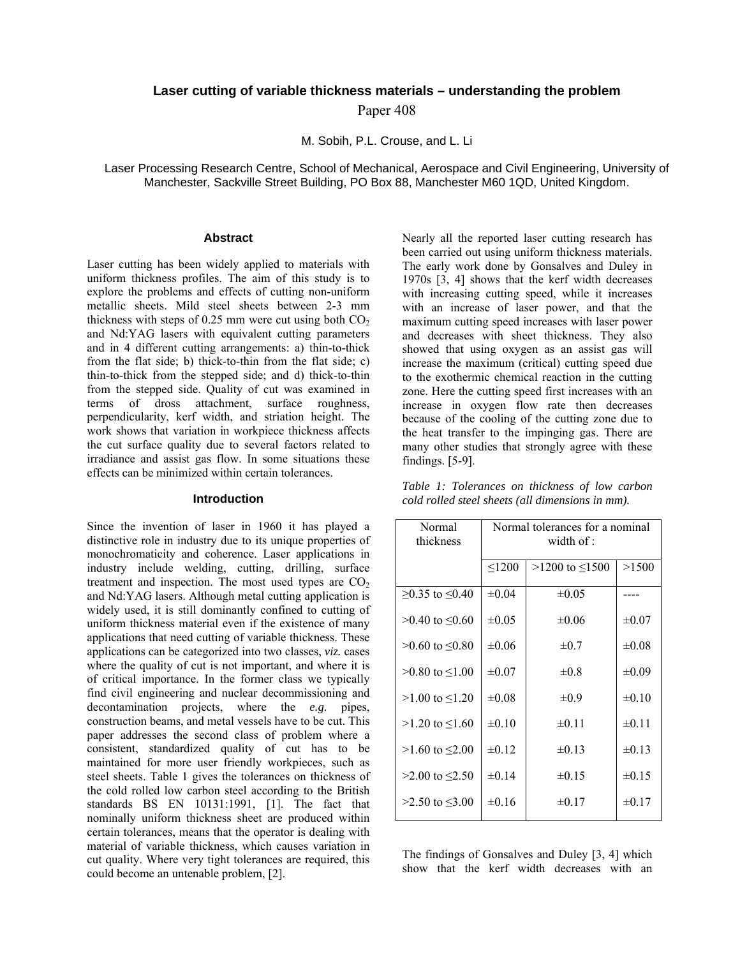# **Laser cutting of variable thickness materials – understanding the problem**

Paper 408

M. Sobih, P.L. Crouse, and L. Li

Laser Processing Research Centre, School of Mechanical, Aerospace and Civil Engineering, University of Manchester, Sackville Street Building, PO Box 88, Manchester M60 1QD, United Kingdom.

# **Abstract**

Laser cutting has been widely applied to materials with uniform thickness profiles. The aim of this study is to explore the problems and effects of cutting non-uniform metallic sheets. Mild steel sheets between 2-3 mm thickness with steps of 0.25 mm were cut using both  $CO<sub>2</sub>$ and Nd:YAG lasers with equivalent cutting parameters and in 4 different cutting arrangements: a) thin-to-thick from the flat side; b) thick-to-thin from the flat side; c) thin-to-thick from the stepped side; and d) thick-to-thin from the stepped side. Quality of cut was examined in terms of dross attachment, surface roughness, perpendicularity, kerf width, and striation height. The work shows that variation in workpiece thickness affects the cut surface quality due to several factors related to irradiance and assist gas flow. In some situations these effects can be minimized within certain tolerances.

#### **Introduction**

Since the invention of laser in 1960 it has played a distinctive role in industry due to its unique properties of monochromaticity and coherence. Laser applications in industry include welding, cutting, drilling, surface treatment and inspection. The most used types are  $CO<sub>2</sub>$ and Nd:YAG lasers. Although metal cutting application is widely used, it is still dominantly confined to cutting of uniform thickness material even if the existence of many applications that need cutting of variable thickness. These applications can be categorized into two classes, *viz.* cases where the quality of cut is not important, and where it is of critical importance. In the former class we typically find civil engineering and nuclear decommissioning and decontamination projects, where the *e.g.* pipes, construction beams, and metal vessels have to be cut. This paper addresses the second class of problem where a consistent, standardized quality of cut has to be maintained for more user friendly workpieces, such as steel sheets. Table 1 gives the tolerances on thickness of the cold rolled low carbon steel according to the British standards BS EN 10131:1991, [1]. The fact that nominally uniform thickness sheet are produced within certain tolerances, means that the operator is dealing with material of variable thickness, which causes variation in cut quality. Where very tight tolerances are required, this could become an untenable problem, [2].

Nearly all the reported laser cutting research has been carried out using uniform thickness materials. The early work done by Gonsalves and Duley in 1970s [3, 4] shows that the kerf width decreases with increasing cutting speed, while it increases with an increase of laser power, and that the maximum cutting speed increases with laser power and decreases with sheet thickness. They also showed that using oxygen as an assist gas will increase the maximum (critical) cutting speed due to the exothermic chemical reaction in the cutting zone. Here the cutting speed first increases with an increase in oxygen flow rate then decreases because of the cooling of the cutting zone due to the heat transfer to the impinging gas. There are many other studies that strongly agree with these findings. [5-9].

*Table 1: Tolerances on thickness of low carbon cold rolled steel sheets (all dimensions in mm).* 

| Normal tolerances for a nominal<br>width of : |                        |            |  |
|-----------------------------------------------|------------------------|------------|--|
| < 1200                                        | $>1200$ to $\leq 1500$ | >1500      |  |
| $\pm 0.04$                                    | $\pm 0.05$             |            |  |
| $\pm 0.05$                                    | $\pm 0.06$             | $\pm 0.07$ |  |
| $\pm 0.06$                                    | $\pm 0.7$              | $\pm 0.08$ |  |
| $\pm 0.07$                                    | $\pm 0.8$              | $\pm 0.09$ |  |
| $\pm 0.08$                                    | $\pm 0.9$              | $\pm 0.10$ |  |
| $\pm 0.10$                                    | $\pm 0.11$             | $\pm 0.11$ |  |
| $\pm 0.12$                                    | $\pm 0.13$             | $\pm 0.13$ |  |
| $\pm 0.14$                                    | $\pm 0.15$             | $\pm 0.15$ |  |
| $\pm 0.16$                                    | $\pm 0.17$             | $\pm 0.17$ |  |
|                                               |                        |            |  |

The findings of Gonsalves and Duley [3, 4] which show that the kerf width decreases with an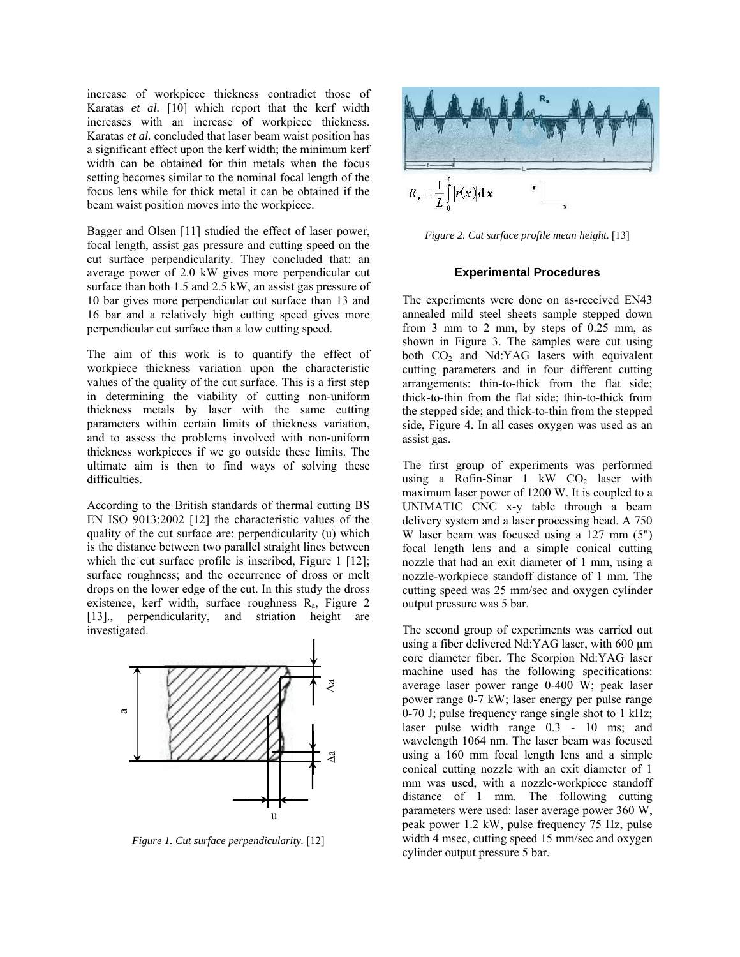increase of workpiece thickness contradict those of Karatas *et al.* [10] which report that the kerf width increases with an increase of workpiece thickness. Karatas *et al.* concluded that laser beam waist position has a significant effect upon the kerf width; the minimum kerf width can be obtained for thin metals when the focus setting becomes similar to the nominal focal length of the focus lens while for thick metal it can be obtained if the beam waist position moves into the workpiece.

Bagger and Olsen [11] studied the effect of laser power, focal length, assist gas pressure and cutting speed on the cut surface perpendicularity. They concluded that: an average power of 2.0 kW gives more perpendicular cut surface than both 1.5 and 2.5 kW, an assist gas pressure of 10 bar gives more perpendicular cut surface than 13 and 16 bar and a relatively high cutting speed gives more perpendicular cut surface than a low cutting speed.

The aim of this work is to quantify the effect of workpiece thickness variation upon the characteristic values of the quality of the cut surface. This is a first step in determining the viability of cutting non-uniform thickness metals by laser with the same cutting parameters within certain limits of thickness variation, and to assess the problems involved with non-uniform thickness workpieces if we go outside these limits. The ultimate aim is then to find ways of solving these difficulties.

According to the British standards of thermal cutting BS EN ISO 9013:2002 [12] the characteristic values of the quality of the cut surface are: perpendicularity (u) which is the distance between two parallel straight lines between which the cut surface profile is inscribed, Figure 1 [12]; surface roughness; and the occurrence of dross or melt drops on the lower edge of the cut. In this study the dross existence, kerf width, surface roughness  $R_a$ , Figure 2 [13]., perpendicularity, and striation height are investigated.



*Figure 1. Cut surface perpendicularity.* [12]



*Figure 2. Cut surface profile mean height.* [13]

### **Experimental Procedures**

The experiments were done on as-received EN43 annealed mild steel sheets sample stepped down from 3 mm to 2 mm, by steps of 0.25 mm, as shown in Figure 3. The samples were cut using both  $CO<sub>2</sub>$  and Nd:YAG lasers with equivalent cutting parameters and in four different cutting arrangements: thin-to-thick from the flat side; thick-to-thin from the flat side; thin-to-thick from the stepped side; and thick-to-thin from the stepped side, Figure 4. In all cases oxygen was used as an assist gas.

The first group of experiments was performed using a Rofin-Sinar  $1 \t kW$  CO<sub>2</sub> laser with maximum laser power of 1200 W. It is coupled to a UNIMATIC CNC x-y table through a beam delivery system and a laser processing head. A 750 W laser beam was focused using a 127 mm (5") focal length lens and a simple conical cutting nozzle that had an exit diameter of 1 mm, using a nozzle-workpiece standoff distance of 1 mm. The cutting speed was 25 mm/sec and oxygen cylinder output pressure was 5 bar.

The second group of experiments was carried out using a fiber delivered Nd:YAG laser, with 600  $\mu$ m core diameter fiber. The Scorpion Nd:YAG laser machine used has the following specifications: average laser power range 0-400 W; peak laser power range 0-7 kW; laser energy per pulse range 0-70 J; pulse frequency range single shot to 1 kHz; laser pulse width range 0.3 - 10 ms; and wavelength 1064 nm. The laser beam was focused using a 160 mm focal length lens and a simple conical cutting nozzle with an exit diameter of 1 mm was used, with a nozzle-workpiece standoff distance of 1 mm. The following cutting parameters were used: laser average power 360 W, peak power 1.2 kW, pulse frequency 75 Hz, pulse width 4 msec, cutting speed 15 mm/sec and oxygen cylinder output pressure 5 bar.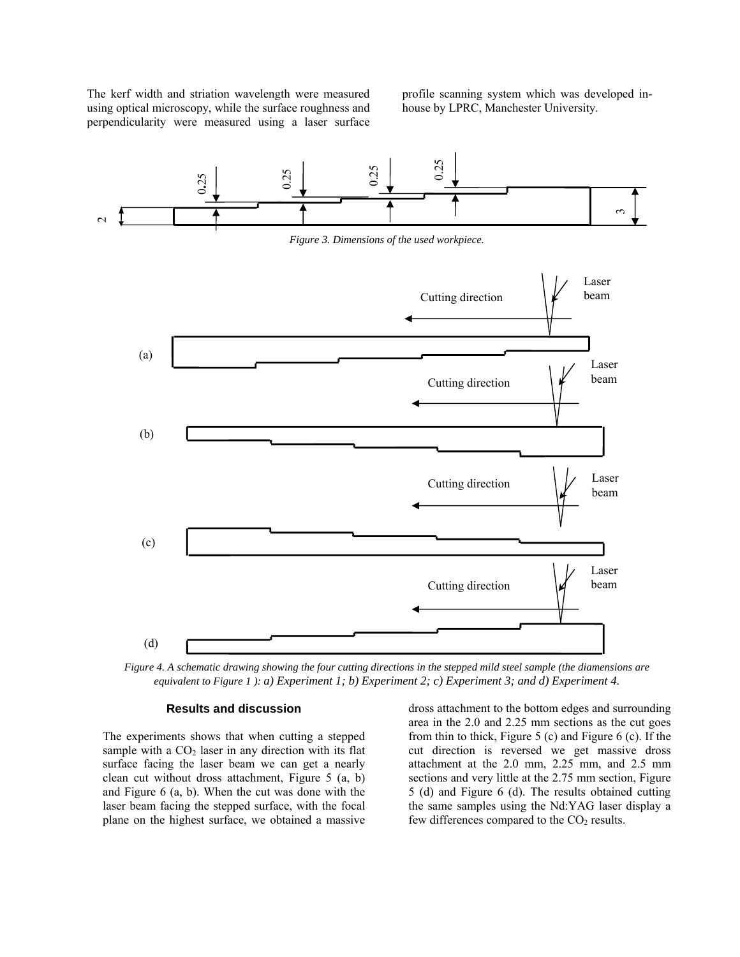The kerf width and striation wavelength were measured using optical microscopy, while the surface roughness and perpendicularity were measured using a laser surface profile scanning system which was developed inhouse by LPRC, Manchester University.



*Figure 4. A schematic drawing showing the four cutting directions in the stepped mild steel sample (the diamensions are equivalent to Figure 1 ): a) Experiment 1; b) Experiment 2; c) Experiment 3; and d) Experiment 4.* 

#### **Results and discussion**

The experiments shows that when cutting a stepped sample with a  $CO<sub>2</sub>$  laser in any direction with its flat surface facing the laser beam we can get a nearly clean cut without dross attachment, Figure 5 (a, b) and Figure 6 (a, b). When the cut was done with the laser beam facing the stepped surface, with the focal plane on the highest surface, we obtained a massive

dross attachment to the bottom edges and surrounding area in the 2.0 and 2.25 mm sections as the cut goes from thin to thick, Figure 5 (c) and Figure 6 (c). If the cut direction is reversed we get massive dross attachment at the 2.0 mm, 2.25 mm, and 2.5 mm sections and very little at the 2.75 mm section, Figure 5 (d) and Figure 6 (d). The results obtained cutting the same samples using the Nd:YAG laser display a few differences compared to the  $CO<sub>2</sub>$  results.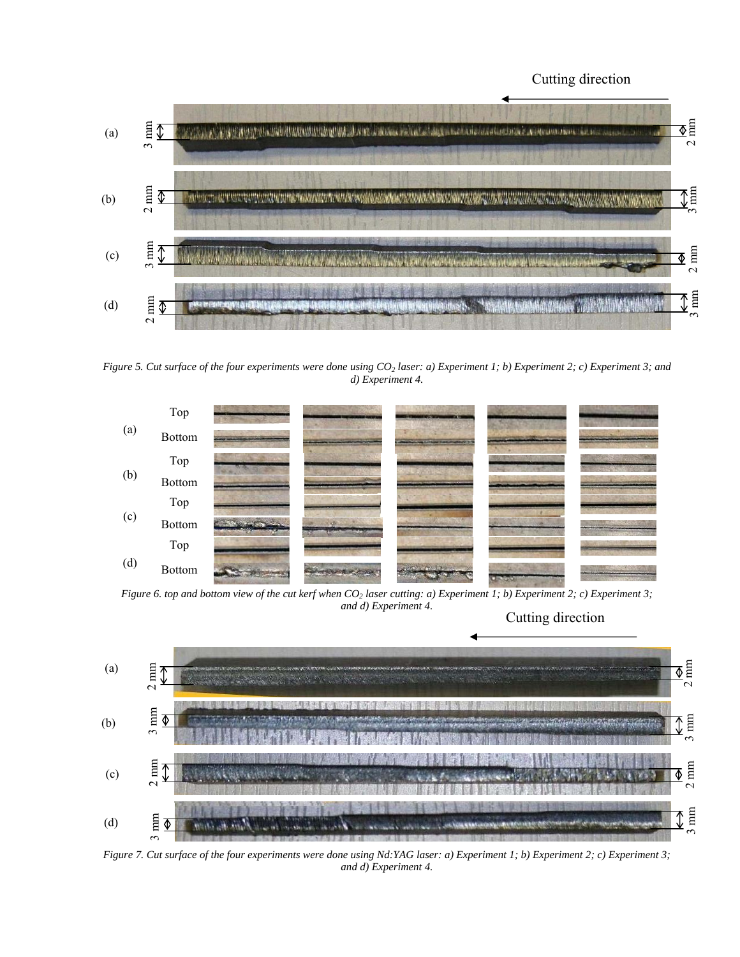# Cutting direction



*Figure 5. Cut surface of the four experiments were done using CO<sub>2</sub> laser: a) Experiment 1; b) Experiment 2; c) Experiment 3; and d) Experiment 4.* 



*Figure 6. top and bottom view of the cut kerf when CO<sub>2</sub> laser cutting: a) Experiment 1; b) Experiment 2; c) Experiment 3; and d) Experiment 4.*

Cutting direction



*Figure 7. Cut surface of the four experiments were done using Nd:YAG laser: a) Experiment 1; b) Experiment 2; c) Experiment 3; and d) Experiment 4.*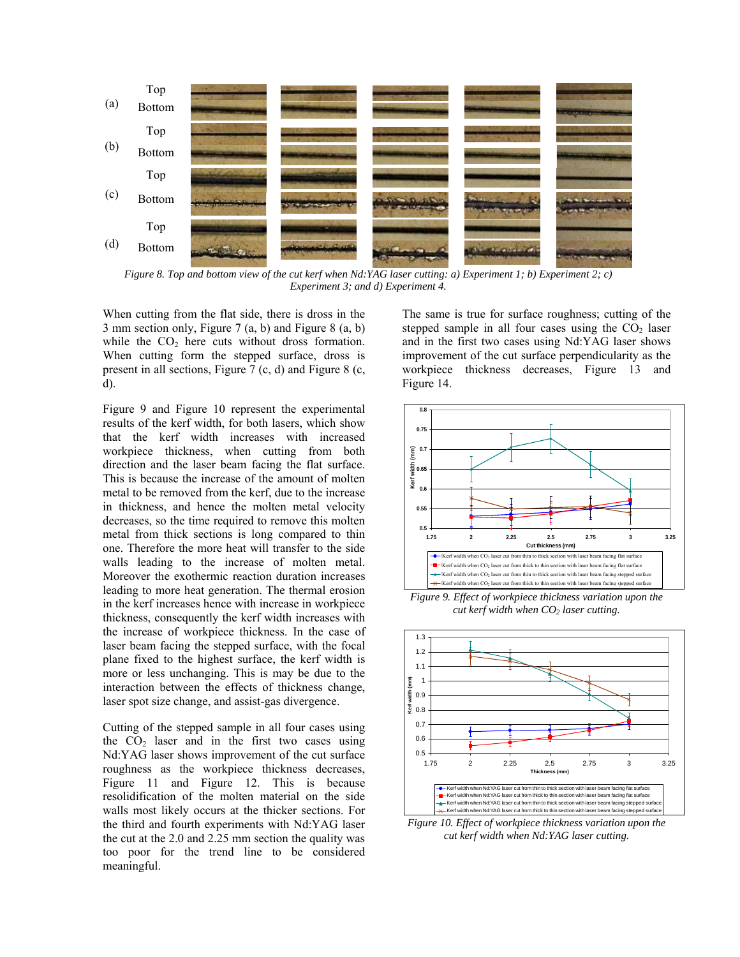

*Figure 8. Top and bottom view of the cut kerf when Nd:YAG laser cutting: a) Experiment 1; b) Experiment 2; c) Experiment 3; and d) Experiment 4.*

When cutting from the flat side, there is dross in the 3 mm section only, Figure 7 (a, b) and Figure 8 (a, b) while the  $CO<sub>2</sub>$  here cuts without dross formation. When cutting form the stepped surface, dross is present in all sections, Figure 7 (c, d) and Figure 8 (c, d).

Figure 9 and Figure 10 represent the experimental results of the kerf width, for both lasers, which show that the kerf width increases with increased workpiece thickness, when cutting from both direction and the laser beam facing the flat surface. This is because the increase of the amount of molten metal to be removed from the kerf, due to the increase in thickness, and hence the molten metal velocity decreases, so the time required to remove this molten metal from thick sections is long compared to thin one. Therefore the more heat will transfer to the side walls leading to the increase of molten metal. Moreover the exothermic reaction duration increases leading to more heat generation. The thermal erosion in the kerf increases hence with increase in workpiece thickness, consequently the kerf width increases with the increase of workpiece thickness. In the case of laser beam facing the stepped surface, with the focal plane fixed to the highest surface, the kerf width is more or less unchanging. This is may be due to the interaction between the effects of thickness change, laser spot size change, and assist-gas divergence.

Cutting of the stepped sample in all four cases using the  $CO<sub>2</sub>$  laser and in the first two cases using Nd:YAG laser shows improvement of the cut surface roughness as the workpiece thickness decreases, Figure 11 and Figure 12. This is because resolidification of the molten material on the side walls most likely occurs at the thicker sections. For the third and fourth experiments with Nd:YAG laser the cut at the 2.0 and 2.25 mm section the quality was too poor for the trend line to be considered meaningful.

The same is true for surface roughness; cutting of the stepped sample in all four cases using the  $CO<sub>2</sub>$  laser and in the first two cases using Nd:YAG laser shows improvement of the cut surface perpendicularity as the workpiece thickness decreases, Figure 13 and Figure 14.



*Figure 9. Effect of workpiece thickness variation upon the cut kerf width when CO<sub>2</sub> laser cutting.* 



*Figure 10. Effect of workpiece thickness variation upon the cut kerf width when Nd:YAG laser cutting.*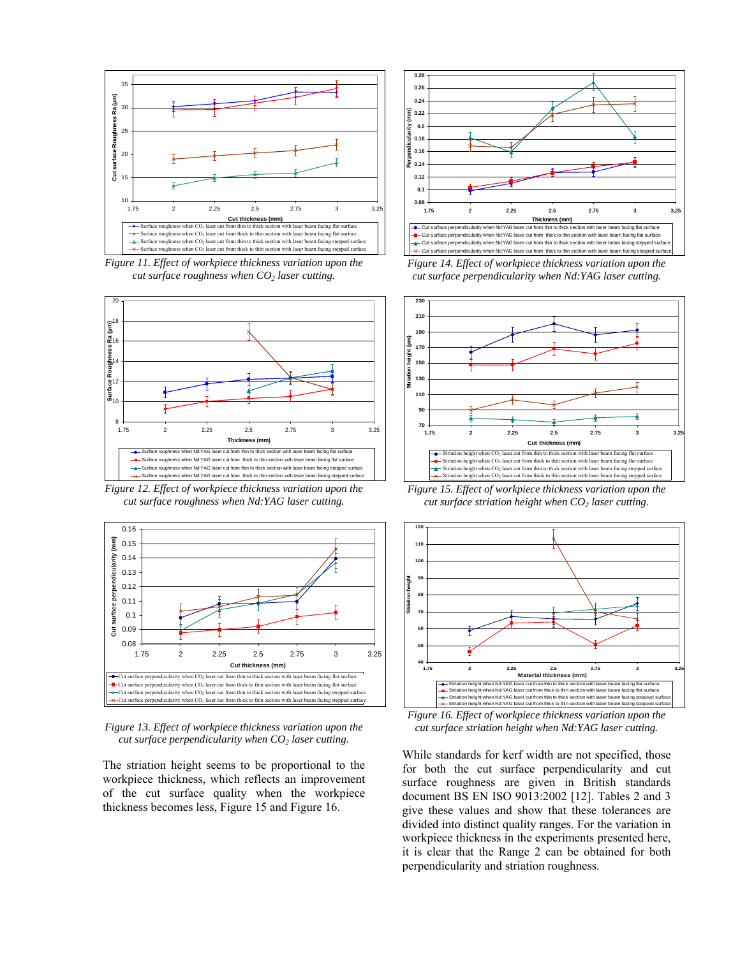

*Figure 11. Effect of workpiece thickness variation upon the cut surface roughness when CO<sub>2</sub> laser cutting.* 



*cut surface roughness when Nd:YAG laser cutting.* 



*Figure 13. Effect of workpiece thickness variation upon the cut surface perpendicularity when CO<sub>2</sub> laser cutting.* 

The striation height seems to be proportional to the workpiece thickness, which reflects an improvement of the cut surface quality when the workpiece thickness becomes less, Figure 15 and Figure 16.



*Figure 14. Effect of workpiece thickness variation upon the cut surface perpendicularity when Nd:YAG laser cutting.* 



*Figure 15. Effect of workpiece thickness variation upon the cut surface striation height when CO<sub>2</sub> laser cutting.* 



*Figure 16. Effect of workpiece thickness variation upon the cut surface striation height when Nd:YAG laser cutting.* 

While standards for kerf width are not specified, those for both the cut surface perpendicularity and cut surface roughness are given in British standards document BS EN ISO 9013:2002 [12]. Tables 2 and 3 give these values and show that these tolerances are divided into distinct quality ranges. For the variation in workpiece thickness in the experiments presented here, it is clear that the Range 2 can be obtained for both perpendicularity and striation roughness.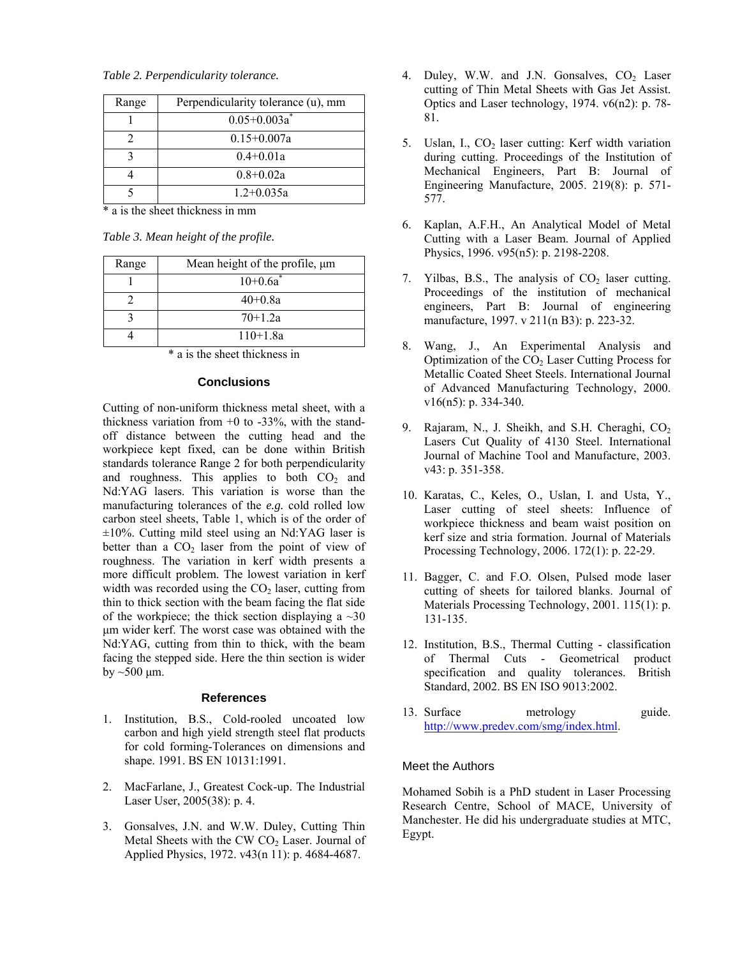*Table 2. Perpendicularity tolerance.* 

| Range | Perpendicularity tolerance (u), mm |
|-------|------------------------------------|
|       | $0.05 + 0.003a^*$                  |
|       | $0.15 + 0.007a$                    |
|       | $0.4 + 0.01a$                      |
|       | $0.8 + 0.02a$                      |
|       | $12+0.035a$                        |

\* a is the sheet thickness in mm

*Table 3. Mean height of the profile.* 

| Range | Mean height of the profile, $\mu$ m |
|-------|-------------------------------------|
|       | $10+0.6a^*$                         |
|       | $40+0.8a$                           |
|       | $70+1.2a$                           |
|       | $110+1.8a$                          |

\* a is the sheet thickness in

#### **Conclusions**

Cutting of non-uniform thickness metal sheet, with a thickness variation from  $+0$  to  $-33\%$ , with the standoff distance between the cutting head and the workpiece kept fixed, can be done within British standards tolerance Range 2 for both perpendicularity and roughness. This applies to both  $CO<sub>2</sub>$  and Nd:YAG lasers. This variation is worse than the manufacturing tolerances of the *e.g.* cold rolled low carbon steel sheets, Table 1, which is of the order of  $\pm 10\%$ . Cutting mild steel using an Nd:YAG laser is better than a  $CO<sub>2</sub>$  laser from the point of view of roughness. The variation in kerf width presents a more difficult problem. The lowest variation in kerf width was recorded using the  $CO<sub>2</sub>$  laser, cutting from thin to thick section with the beam facing the flat side of the workpiece; the thick section displaying a  $\sim 30$ µm wider kerf. The worst case was obtained with the Nd:YAG, cutting from thin to thick, with the beam facing the stepped side. Here the thin section is wider by  $\sim$  500  $\mu$ m.

#### **References**

- 1. Institution, B.S., Cold-rooled uncoated low carbon and high yield strength steel flat products for cold forming-Tolerances on dimensions and shape. 1991. BS EN 10131:1991.
- 2. MacFarlane, J., Greatest Cock-up. The Industrial Laser User, 2005(38): p. 4.
- 3. Gonsalves, J.N. and W.W. Duley, Cutting Thin Metal Sheets with the CW  $CO<sub>2</sub>$  Laser. Journal of Applied Physics, 1972. v43(n 11): p. 4684-4687.
- 4. Duley, W.W. and J.N. Gonsalves,  $CO<sub>2</sub>$  Laser cutting of Thin Metal Sheets with Gas Jet Assist. Optics and Laser technology, 1974. v6(n2): p. 78- 81.
- 5. Uslan, I.,  $CO<sub>2</sub>$  laser cutting: Kerf width variation during cutting. Proceedings of the Institution of Mechanical Engineers, Part B: Journal of Engineering Manufacture, 2005. 219(8): p. 571- 577.
- 6. Kaplan, A.F.H., An Analytical Model of Metal Cutting with a Laser Beam. Journal of Applied Physics, 1996. v95(n5): p. 2198-2208.
- 7. Yilbas, B.S., The analysis of  $CO<sub>2</sub>$  laser cutting. Proceedings of the institution of mechanical engineers, Part B: Journal of engineering manufacture, 1997. v 211(n B3): p. 223-32.
- 8. Wang, J., An Experimental Analysis and Optimization of the  $CO<sub>2</sub>$  Laser Cutting Process for Metallic Coated Sheet Steels. International Journal of Advanced Manufacturing Technology, 2000. v16(n5): p. 334-340.
- 9. Rajaram, N., J. Sheikh, and S.H. Cheraghi, CO<sub>2</sub> Lasers Cut Quality of 4130 Steel. International Journal of Machine Tool and Manufacture, 2003. v43: p. 351-358.
- 10. Karatas, C., Keles, O., Uslan, I. and Usta, Y., Laser cutting of steel sheets: Influence of workpiece thickness and beam waist position on kerf size and stria formation. Journal of Materials Processing Technology, 2006. 172(1): p. 22-29.
- 11. Bagger, C. and F.O. Olsen, Pulsed mode laser cutting of sheets for tailored blanks. Journal of Materials Processing Technology, 2001. 115(1): p. 131-135.
- 12. Institution, B.S., Thermal Cutting classification of Thermal Cuts - Geometrical product specification and quality tolerances. British Standard, 2002. BS EN ISO 9013:2002.
- 13. Surface metrology guide. http://www.predev.com/smg/index.html.

# Meet the Authors

Mohamed Sobih is a PhD student in Laser Processing Research Centre, School of MACE, University of Manchester. He did his undergraduate studies at MTC, Egypt.